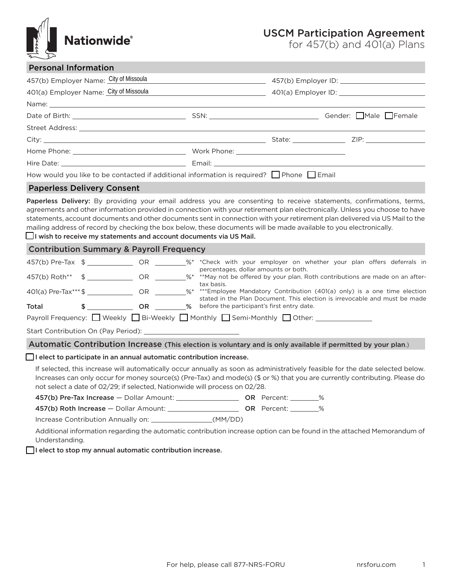

## USCM Participation Agreement

for 457(b) and 401(a) Plans

|                                        | <b>Personal Information</b>                                                 |  |  |                                                                                                                                                                                                 |  |                                                                                                                            |                                                                                                                                                                                                                                                               |  |  |  |
|----------------------------------------|-----------------------------------------------------------------------------|--|--|-------------------------------------------------------------------------------------------------------------------------------------------------------------------------------------------------|--|----------------------------------------------------------------------------------------------------------------------------|---------------------------------------------------------------------------------------------------------------------------------------------------------------------------------------------------------------------------------------------------------------|--|--|--|
| 457(b) Employer Name: City of Missoula |                                                                             |  |  |                                                                                                                                                                                                 |  |                                                                                                                            |                                                                                                                                                                                                                                                               |  |  |  |
| 401(a) Employer Name: City of Missoula |                                                                             |  |  |                                                                                                                                                                                                 |  |                                                                                                                            |                                                                                                                                                                                                                                                               |  |  |  |
|                                        |                                                                             |  |  |                                                                                                                                                                                                 |  |                                                                                                                            |                                                                                                                                                                                                                                                               |  |  |  |
|                                        |                                                                             |  |  |                                                                                                                                                                                                 |  |                                                                                                                            |                                                                                                                                                                                                                                                               |  |  |  |
|                                        |                                                                             |  |  |                                                                                                                                                                                                 |  |                                                                                                                            |                                                                                                                                                                                                                                                               |  |  |  |
|                                        |                                                                             |  |  |                                                                                                                                                                                                 |  |                                                                                                                            |                                                                                                                                                                                                                                                               |  |  |  |
|                                        |                                                                             |  |  |                                                                                                                                                                                                 |  |                                                                                                                            |                                                                                                                                                                                                                                                               |  |  |  |
|                                        |                                                                             |  |  |                                                                                                                                                                                                 |  |                                                                                                                            |                                                                                                                                                                                                                                                               |  |  |  |
|                                        |                                                                             |  |  | How would you like to be contacted if additional information is required? $\Box$ Phone $\Box$ Email                                                                                             |  |                                                                                                                            |                                                                                                                                                                                                                                                               |  |  |  |
|                                        | <b>Paperless Delivery Consent</b>                                           |  |  |                                                                                                                                                                                                 |  |                                                                                                                            |                                                                                                                                                                                                                                                               |  |  |  |
|                                        |                                                                             |  |  | mailing address of record by checking the box below, these documents will be made available to you electronically.<br>$\Box$ I wish to receive my statements and account documents via US Mail. |  |                                                                                                                            | statements, account documents and other documents sent in connection with your retirement plan delivered via US Mail to the                                                                                                                                   |  |  |  |
|                                        | <b>Contribution Summary &amp; Payroll Frequency</b>                         |  |  |                                                                                                                                                                                                 |  |                                                                                                                            |                                                                                                                                                                                                                                                               |  |  |  |
|                                        |                                                                             |  |  | 457(b) Pre-Tax \$ _ _ _ _ OR _ _ _ %* *Check with your employer on whether your plan offers deferrals in<br>percentages, dollar amounts or both.                                                |  |                                                                                                                            |                                                                                                                                                                                                                                                               |  |  |  |
|                                        |                                                                             |  |  |                                                                                                                                                                                                 |  | 401(a) Pre-Tax***\$ ________________ OR ________%* ***Employee Mandatory Contribution (401(a) only) is a one time election |                                                                                                                                                                                                                                                               |  |  |  |
|                                        |                                                                             |  |  | tax basis.                                                                                                                                                                                      |  |                                                                                                                            |                                                                                                                                                                                                                                                               |  |  |  |
| Total                                  |                                                                             |  |  | stated in the Plan Document. This election is irrevocable and must be made                                                                                                                      |  |                                                                                                                            |                                                                                                                                                                                                                                                               |  |  |  |
|                                        |                                                                             |  |  | Payroll Frequency: □ Weekly □ Bi-Weekly □ Monthly □ Semi-Monthly □ Other: ______                                                                                                                |  |                                                                                                                            |                                                                                                                                                                                                                                                               |  |  |  |
|                                        |                                                                             |  |  |                                                                                                                                                                                                 |  |                                                                                                                            |                                                                                                                                                                                                                                                               |  |  |  |
|                                        |                                                                             |  |  |                                                                                                                                                                                                 |  |                                                                                                                            | Automatic Contribution Increase (This election is voluntary and is only available if permitted by your plan.)                                                                                                                                                 |  |  |  |
|                                        | $\Box$ I elect to participate in an annual automatic contribution increase. |  |  |                                                                                                                                                                                                 |  |                                                                                                                            |                                                                                                                                                                                                                                                               |  |  |  |
|                                        |                                                                             |  |  | not select a date of 02/29; if selected, Nationwide will process on 02/28.                                                                                                                      |  |                                                                                                                            | If selected, this increase will automatically occur annually as soon as administratively feasible for the date selected below.<br>Increases can only occur for money source(s) (Pre-Tax) and mode(s) (\$ or %) that you are currently contributing. Please do |  |  |  |
|                                        |                                                                             |  |  |                                                                                                                                                                                                 |  |                                                                                                                            |                                                                                                                                                                                                                                                               |  |  |  |
|                                        |                                                                             |  |  |                                                                                                                                                                                                 |  |                                                                                                                            |                                                                                                                                                                                                                                                               |  |  |  |
|                                        | Increase Contribution Annually on: (MM/DD)                                  |  |  |                                                                                                                                                                                                 |  |                                                                                                                            |                                                                                                                                                                                                                                                               |  |  |  |
|                                        |                                                                             |  |  |                                                                                                                                                                                                 |  |                                                                                                                            | Additional information regarding the automatic contribution increase option can be found in the attached Memorandum of                                                                                                                                        |  |  |  |

 $\Box$ I elect to stop my annual automatic contribution increase.

Understanding.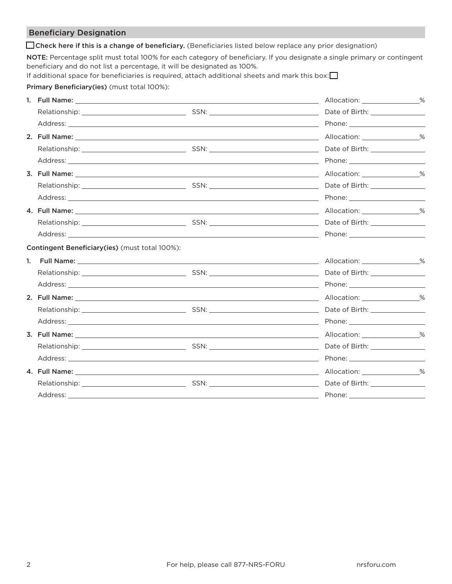## Beneficiary Designation

 $\Box$  Check here if this is a change of beneficiary. (Beneficiaries listed below replace any prior designation)

NOTE: Percentage split must total 100% for each category of beneficiary. If you designate a single primary or contingent beneficiary and do not list a percentage, it will be designated as 100%.

| If additional space for beneficiaries is required, attach additional sheets and mark this box: $\square$ |  |  |  |  |  |  |  |
|----------------------------------------------------------------------------------------------------------|--|--|--|--|--|--|--|
|                                                                                                          |  |  |  |  |  |  |  |

Primary Beneficiary(ies) (must total 100%):

| Allocation: ________________%                                                                                                                                                                                                  |
|--------------------------------------------------------------------------------------------------------------------------------------------------------------------------------------------------------------------------------|
|                                                                                                                                                                                                                                |
|                                                                                                                                                                                                                                |
|                                                                                                                                                                                                                                |
|                                                                                                                                                                                                                                |
|                                                                                                                                                                                                                                |
|                                                                                                                                                                                                                                |
|                                                                                                                                                                                                                                |
|                                                                                                                                                                                                                                |
|                                                                                                                                                                                                                                |
|                                                                                                                                                                                                                                |
|                                                                                                                                                                                                                                |
|                                                                                                                                                                                                                                |
|                                                                                                                                                                                                                                |
|                                                                                                                                                                                                                                |
|                                                                                                                                                                                                                                |
|                                                                                                                                                                                                                                |
|                                                                                                                                                                                                                                |
| Address: the contract of the contract of the contract of the contract of the contract of the contract of the contract of the contract of the contract of the contract of the contract of the contract of the contract of the c |
|                                                                                                                                                                                                                                |
|                                                                                                                                                                                                                                |
| Address: Address: Address: Address: Address: Address: Address: Address: Address: Address: Address: Address: Address: Address: Address: Address: Address: Address: Address: Address: Address: Address: Address: Address: Addres |
|                                                                                                                                                                                                                                |
| Date of Birth: ________________                                                                                                                                                                                                |
|                                                                                                                                                                                                                                |
|                                                                                                                                                                                                                                |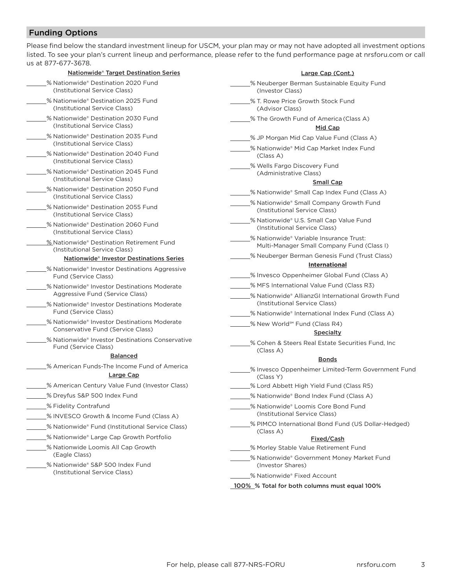## Funding Options

Please find below the standard investment lineup for USCM, your plan may or may not have adopted all investment options listed. To see your plan's current lineup and performance, please refer to the fund performance page at nrsforu.com or call us at 877-677-3678.

| <b>Nationwide® Target Destination Series</b>                                                                | Large Cap (Cont.)                                                                                |  |  |  |  |
|-------------------------------------------------------------------------------------------------------------|--------------------------------------------------------------------------------------------------|--|--|--|--|
| % Nationwide® Destination 2020 Fund<br>(Institutional Service Class)                                        | % Neuberger Berman Sustainable Equity Fund<br>(Investor Class)                                   |  |  |  |  |
| % Nationwide® Destination 2025 Fund<br>(Institutional Service Class)                                        | % T. Rowe Price Growth Stock Fund<br>(Advisor Class)                                             |  |  |  |  |
| % Nationwide® Destination 2030 Fund<br>(Institutional Service Class)                                        | % The Growth Fund of America (Class A)<br>Mid Cap                                                |  |  |  |  |
| % Nationwide® Destination 2035 Fund<br>(Institutional Service Class)<br>% Nationwide® Destination 2040 Fund | % JP Morgan Mid Cap Value Fund (Class A)<br>% Nationwide® Mid Cap Market Index Fund<br>(Class A) |  |  |  |  |
| (Institutional Service Class)<br>% Nationwide® Destination 2045 Fund<br>(Institutional Service Class)       | % Wells Fargo Discovery Fund<br>(Administrative Class)<br><b>Small Cap</b>                       |  |  |  |  |
| % Nationwide® Destination 2050 Fund<br>(Institutional Service Class)                                        | % Nationwide® Small Cap Index Fund (Class A)                                                     |  |  |  |  |
| % Nationwide® Destination 2055 Fund<br>(Institutional Service Class)                                        | % Nationwide® Small Company Growth Fund<br>(Institutional Service Class)                         |  |  |  |  |
| % Nationwide® Destination 2060 Fund<br>(Institutional Service Class)                                        | % Nationwide® U.S. Small Cap Value Fund<br>(Institutional Service Class)                         |  |  |  |  |
| % Nationwide® Destination Retirement Fund                                                                   | % Nationwide® Variable Insurance Trust:<br>Multi-Manager Small Company Fund (Class I)            |  |  |  |  |
| (Institutional Service Class)<br><b>Nationwide® Investor Destinations Series</b>                            | % Neuberger Berman Genesis Fund (Trust Class)<br><b>International</b>                            |  |  |  |  |
| % Nationwide® Investor Destinations Aggressive<br>Fund (Service Class)                                      | .% Invesco Oppenheimer Global Fund (Class A)                                                     |  |  |  |  |
| % Nationwide® Investor Destinations Moderate<br>Aggressive Fund (Service Class)                             | % MFS International Value Fund (Class R3)<br>% Nationwide® AllianzGI International Growth Fund   |  |  |  |  |
| % Nationwide® Investor Destinations Moderate<br>Fund (Service Class)                                        | (Institutional Service Class)<br>% Nationwide® International Index Fund (Class A)                |  |  |  |  |
| % Nationwide® Investor Destinations Moderate<br>Conservative Fund (Service Class)                           | % New World <sup>sM</sup> Fund (Class R4)                                                        |  |  |  |  |
| % Nationwide® Investor Destinations Conservative<br>Fund (Service Class)                                    | <b>Specialty</b><br>% Cohen & Steers Real Estate Securities Fund, Inc.<br>(Class A)              |  |  |  |  |
| <b>Balanced</b>                                                                                             | <b>Bonds</b>                                                                                     |  |  |  |  |
| % American Funds-The Income Fund of America<br>Large Cap                                                    | % Invesco Oppenheimer Limited-Term Government Fund<br>(Class Y)                                  |  |  |  |  |
| % American Century Value Fund (Investor Class)                                                              | % Lord Abbett High Yield Fund (Class R5)                                                         |  |  |  |  |
| % Dreyfus S&P 500 Index Fund                                                                                | % Nationwide® Bond Index Fund (Class A)                                                          |  |  |  |  |
| % Fidelity Contrafund                                                                                       | % Nationwide® Loomis Core Bond Fund                                                              |  |  |  |  |
| % INVESCO Growth & Income Fund (Class A)                                                                    | (Institutional Service Class)                                                                    |  |  |  |  |
| % Nationwide® Fund (Institutional Service Class)                                                            | % PIMCO International Bond Fund (US Dollar-Hedged)<br>(Class A)                                  |  |  |  |  |
| % Nationwide® Large Cap Growth Portfolio                                                                    | Fixed/Cash                                                                                       |  |  |  |  |
| % Nationwide Loomis All Cap Growth<br>(Eagle Class)                                                         | % Morley Stable Value Retirement Fund<br>% Nationwide® Government Money Market Fund              |  |  |  |  |
| % Nationwide® S&P 500 Index Fund<br>(Institutional Service Class)                                           | (Investor Shares)                                                                                |  |  |  |  |
|                                                                                                             | % Nationwide® Fixed Account                                                                      |  |  |  |  |
|                                                                                                             | 100% % Total for both columns must equal 100%                                                    |  |  |  |  |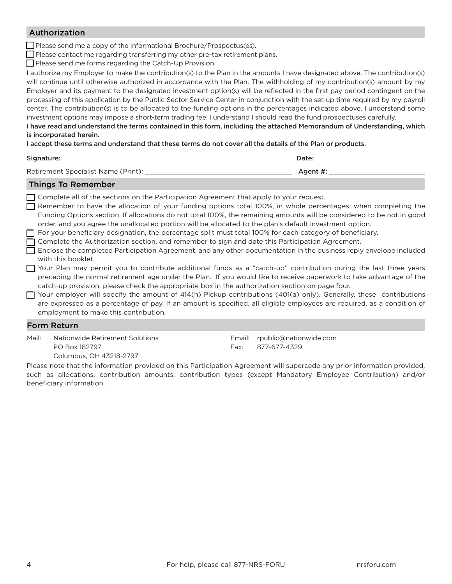### Authorization

 $\Box$  Please send me a copy of the Informational Brochure/Prospectus(es).

 $\Box$  Please contact me regarding transferring my other pre-tax retirement plans.

 $\Box$  Please send me forms regarding the Catch-Up Provision.

I authorize my Employer to make the contribution(s) to the Plan in the amounts I have designated above. The contribution(s) will continue until otherwise authorized in accordance with the Plan. The withholding of my contribution(s) amount by my Employer and its payment to the designated investment option(s) will be reflected in the first pay period contingent on the processing of this application by the Public Sector Service Center in conjunction with the set-up time required by my payroll center. The contribution(s) is to be allocated to the funding options in the percentages indicated above. I understand some investment options may impose a short-term trading fee. I understand I should read the fund prospectuses carefully.

I have read and understand the terms contained in this form, including the attached Memorandum of Understanding, which is incorporated herein.

I accept these terms and understand that these terms do not cover all the details of the Plan or products.

## Signature: Date:

## Things To Remember

 $\Box$  Complete all of the sections on the Participation Agreement that apply to your request.

- F Remember to have the allocation of your funding options total 100%, in whole percentages, when completing the Funding Options section. If allocations do not total 100%, the remaining amounts will be considered to be not in good order, and you agree the unallocated portion will be allocated to the plan's default investment option.
- $\Box$  For your beneficiary designation, the percentage split must total 100% for each category of beneficiary.
- F Complete the Authorization section, and remember to sign and date this Participation Agreement.
- F Enclose the completed Participation Agreement, and any other documentation in the business reply envelope included with this booklet.
- F Your Plan may permit you to contribute additional funds as a "catch-up" contribution during the last three years preceding the normal retirement age under the Plan. If you would like to receive paperwork to take advantage of the catch-up provision, please check the appropriate box in the authorization section on page four.
- $\Box$  Your employer will specify the amount of 414(h) Pickup contributions (401(a) only). Generally, these contributions are expressed as a percentage of pay. If an amount is specified, all eligible employees are required, as a condition of employment to make this contribution.

### Form Return

Mail: Nationwide Retirement Solutions PO Box 182797 Columbus, OH 43218-2797

Email: rpublic@nationwide.com Fax: 877-677-4329

Please note that the information provided on this Participation Agreement will supercede any prior information provided, such as allocations, contribution amounts, contribution types (except Mandatory Employee Contribution) and/or beneficiary information.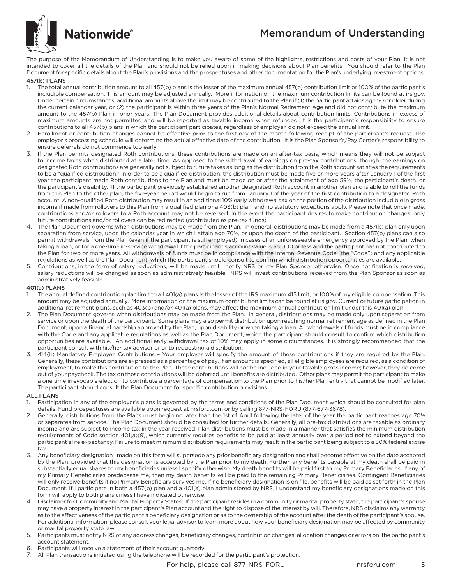# Memorandum of Understanding



The purpose of the Memorandum of Understanding is to make you aware of some of the highlights, restrictions and costs of your Plan. It is not intended to cover all the details of the Plan and should not be relied upon in making decisions about Plan benefits. You should refer to the Plan Document for specific details about the Plan's provisions and the prospectuses and other documentation for the Plan's underlying investment options.

### 457(b) PLANS

- 1. The total annual contribution amount to all 457(b) plans is the lesser of the maximum annual 457(b) contribution limit or 100% of the participant's includible compensation. This amount may be adjusted annually. More information on the maximum contribution limits can be found at irs.gov. Under certain circumstances, additional amounts above the limit may be contributed to the Plan if (1) the participant attains age 50 or older during the current calendar year, or (2) the participant is within three years of the Plan's Normal Retirement Age and did not contribute the maximum amount to the 457(b) Plan in prior years. The Plan Document provides additional details about contribution limits. Contributions in excess of maximum amounts are not permitted and will be reported as taxable income when refunded. It is the participant's responsibility to ensure contributions to all 457(b) plans in which the participant participates, regardless of employer, do not exceed the annual limit.
- 2. Enrollment or contribution changes cannot be effective prior to the first day of the month following receipt of the participant's request. The employer's processing schedule will determine the actual effective date of the contribution. It is the Plan Sponsor's/Pay Center's responsibility to ensure deferrals do not commence too early.
- 3. If the Plan permits designated Roth contributions, these contributions are made on an after-tax basis, which means they will not be subject to income taxes when distributed at a later time. As opposed to the withdrawal of earnings on pre-tax contributions, though, the earnings on designated Roth contributions are generally not subject to future taxes as long as the distribution from the Roth account satisfies the requirements to be a "qualified distribution." In order to be a qualified distribution, the distribution must be made five or more years after January 1 of the first year the participant made Roth contributions to the Plan and must be made on or after the attainment of age 59½, the participant's death, or the participant's disability. If the participant previously established another designated Roth account in another plan and is able to roll the funds from this Plan to the other plan, the five-year period would begin to run from January 1 of the year of the first contribution to a designated Roth account. A non-qualified Roth distribution may result in an additional 10% early withdrawal tax on the portion of the distribution includible in gross income if made from rollovers to this Plan from a qualified plan or a 403(b) plan, and no statutory exceptions apply. Please note that once made, contributions and/or rollovers to a Roth account may not be reversed. In the event the participant desires to make contribution changes, only future contributions and/or rollovers can be redirected (contributed as pre-tax funds).
- 4. The Plan Document governs when distributions may be made from the Plan. In general, distributions may be made from a 457(b) plan only upon separation from service, upon the calendar year in which I attain age 70½, or upon the death of the participant. Section 457(b) plans can also permit withdrawals from the Plan (even if the participant is still employed) in cases of an unforeseeable emergency approved by the Plan; when taking a loan, or for a one-time in-service withdrawal if the participant's account value is \$5,000 or less and the participant has not contributed to the Plan for two or more years. All withdrawals of funds must be in compliance with the Internal Revenue Code (the "Code") and any applicable regulations as well as the Plan Document, which the participant should consult to confirm which distribution opportunities are available. **In the participant is still employed) in cases of an unforeseeable emergency approvement in the participant's account value is \$5,000 or less and the participativity of the participant's account value is \$5,000 or less an**
- 5. Contributions, in the form of salary reductions, will be made until I notify NRS or my Plan Sponsor otherwise. Once notification is received, salary reductions will be changed as soon as administratively feasible. NRS will invest contributions received from the Plan Sponsor as soon as administratively feasible.

### 401(a) PLANS

- 1. The annual defined contribution plan limit to all 401(a) plans is the lesser of the IRS maximum 415 limit, or 100% of my eligible compensation. This amount may be adjusted annually. More information on the maximum contribution limits can be found at irs.gov. Current or future participation in additional retirement plans, such as 403(b) and/or 401(a) plans, may affect the maximum annual contribution limit under this 401(a) plan.
- 2. The Plan Document governs when distributions may be made from the Plan. In general, distributions may be made only upon separation from service or upon the death of the participant. Some plans may also permit distribution upon reaching normal retirement age as defined in the Plan Document, upon a financial hardship approved by the Plan, upon disability or when taking a loan. All withdrawals of funds must be in compliance with the Code and any applicable regulations as well as the Plan Document, which the participant should consult to confirm which distribution opportunities are available. An additional early withdrawal tax of 10% may apply in some circumstances. It is strongly recommended that the participant consult with his/her tax advisor prior to requesting a distribution.
- 3. 414(h) Mandatory Employee Contributions Your employer will specify the amount of these contributions if they are required by the Plan. Generally, these contributions are expressed as a percentage of pay. If an amount is specified, all eligible employees are required, as a condition of employment, to make this contribution to the Plan. These contributions will not be included in your taxable gross income; however, they do come out of your paycheck. The tax on these contributions will be deferred until benefits are distributed. Other plans may permit the participant to make a one time irrevocable election to contribute a percentage of compensation to the Plan prior to his/her Plan entry that cannot be modified later. The participant should consult the Plan Document for specific contribution provisions.

### ALL PLANS

- Participation in any of the employer's plans is governed by the terms and conditions of the Plan Document which should be consulted for plan details. Fund prospectuses are available upon request at nrsforu.com or by calling 877-NRS-FORU (877-677-3678).
- 2. Generally, distributions from the Plans must begin no later than the 1st of April following the later of the year the participant reaches age 70½ or separates from service. The Plan Document should be consulted for further details. Generally, all pre-tax distributions are taxable as ordinary income and are subject to income tax in the year received. Plan distributions must be made in a manner that satisfies the minimum distribution requirements of Code section 401(a)(9), which currently requires benefits to be paid at least annually over a period not to extend beyond the participant's life expectancy. Failure to meet minimum distribution requirements may result in the participant being subject to a 50% federal excise tax
- Any beneficiary designation I made on this form will supersede any prior beneficiary designation and shall become effective on the date accepted by the Plan, provided that this designation is accepted by the Plan prior to my death. Further, any benefits payable at my death shall be paid in substantially equal shares to my beneficiaries unless I specify otherwise. My death benefits will be paid first to my Primary Beneficiaries. If any of my Primary Beneficiaries predecease me, then my death benefits will be paid to the remaining Primary Beneficiaries. Contingent Beneficiaries will only receive benefits if no Primary Beneficiary survives me. If no beneficiary designation is on file, benefits will be paid as set forth in the Plan Document. If I participate in both a 457(b) plan and a 401(a) plan administered by NRS, I understand my beneficiary designations made on this form will apply to both plans unless I have indicated otherwise.
- 4. Disclaimer for Community and Marital Property States: If the participant resides in a community or marital property state, the participant's spouse may have a property interest in the participant's Plan account and the right to dispose of the interest by will. Therefore, NRS disclaims any warranty as to the effectiveness of the participant's beneficiary designation or as to the ownership of the account after the death of the participant's spouse. For additional information, please consult your legal advisor to learn more about how your beneficiary designation may be affected by community or marital property state law.
- 5. Participants must notify NRS of any address changes, beneficiary changes, contribution changes, allocation changes or errors on the participant's account statement.
- 6. Participants will receive a statement of their account quarterly.<br>7. All Plan transactions initiated using the telephone will be record
- All Plan transactions initiated using the telephone will be recorded for the participant's protection.